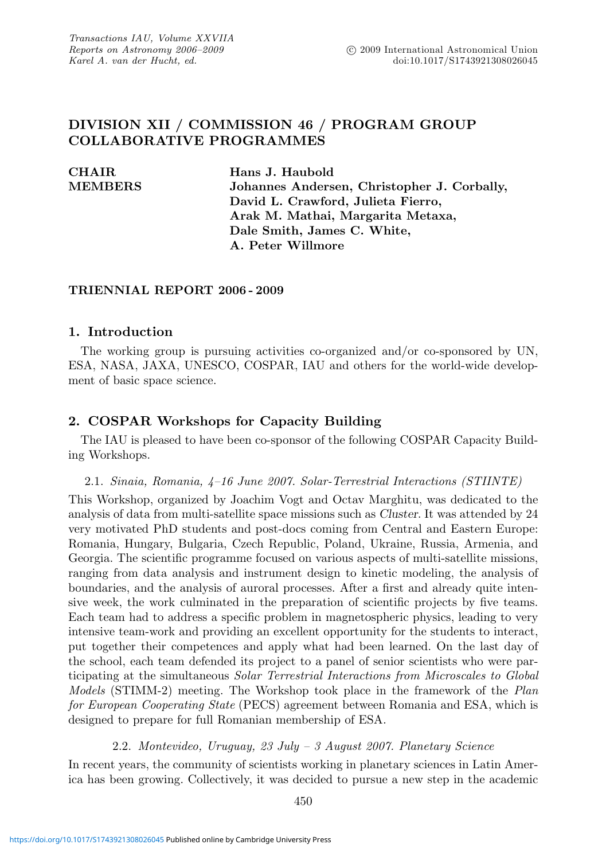# **DIVISION XII / COMMISSION 46 / PROGRAM GROUP COLLABORATIVE PROGRAMMES**

**CHAIR Hans J. Haubold MEMBERS Johannes Andersen, Christopher J. Corbally, David L. Crawford, Julieta Fierro, Arak M. Mathai, Margarita Metaxa, Dale Smith, James C. White, A. Peter Willmore**

### **TRIENNIAL REPORT 2006 - 2009**

### **1. Introduction**

The working group is pursuing activities co-organized and/or co-sponsored by UN, ESA, NASA, JAXA, UNESCO, COSPAR, IAU and others for the world-wide development of basic space science.

## **2. COSPAR Workshops for Capacity Building**

The IAU is pleased to have been co-sponsor of the following COSPAR Capacity Building Workshops.

#### 2.1. Sinaia, Romania, 4–16 June 2007. Solar-Terrestrial Interactions (STIINTE)

This Workshop, organized by Joachim Vogt and Octav Marghitu, was dedicated to the analysis of data from multi-satellite space missions such as *Cluster*. It was attended by 24 very motivated PhD students and post-docs coming from Central and Eastern Europe: Romania, Hungary, Bulgaria, Czech Republic, Poland, Ukraine, Russia, Armenia, and Georgia. The scientific programme focused on various aspects of multi-satellite missions, ranging from data analysis and instrument design to kinetic modeling, the analysis of boundaries, and the analysis of auroral processes. After a first and already quite intensive week, the work culminated in the preparation of scientific projects by five teams. Each team had to address a specific problem in magnetospheric physics, leading to very intensive team-work and providing an excellent opportunity for the students to interact, put together their competences and apply what had been learned. On the last day of the school, each team defended its project to a panel of senior scientists who were participating at the simultaneous Solar Terrestrial Interactions from Microscales to Global Models (STIMM-2) meeting. The Workshop took place in the framework of the Plan for European Cooperating State (PECS) agreement between Romania and ESA, which is designed to prepare for full Romanian membership of ESA.

## 2.2. Montevideo, Uruguay, 23 July – 3 August 2007. Planetary Science

In recent years, the community of scientists working in planetary sciences in Latin America has been growing. Collectively, it was decided to pursue a new step in the academic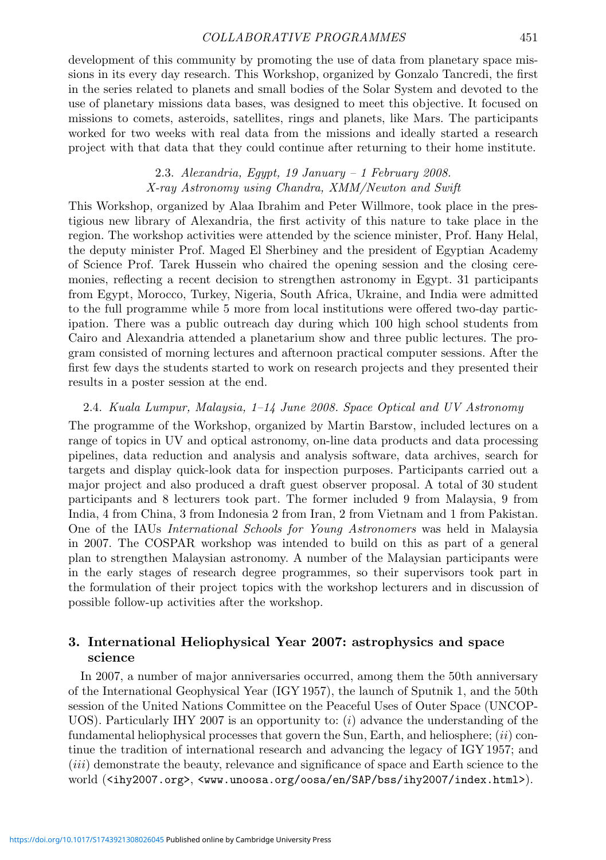#### COLLABORATIVE PROGRAMMES 451

development of this community by promoting the use of data from planetary space missions in its every day research. This Workshop, organized by Gonzalo Tancredi, the first in the series related to planets and small bodies of the Solar System and devoted to the use of planetary missions data bases, was designed to meet this objective. It focused on missions to comets, asteroids, satellites, rings and planets, like Mars. The participants worked for two weeks with real data from the missions and ideally started a research project with that data that they could continue after returning to their home institute.

## 2.3. Alexandria, Egypt, 19 January – 1 February 2008. X-ray Astronomy using Chandra, XMM/Newton and Swift

This Workshop, organized by Alaa Ibrahim and Peter Willmore, took place in the prestigious new library of Alexandria, the first activity of this nature to take place in the region. The workshop activities were attended by the science minister, Prof. Hany Helal, the deputy minister Prof. Maged El Sherbiney and the president of Egyptian Academy of Science Prof. Tarek Hussein who chaired the opening session and the closing ceremonies, reflecting a recent decision to strengthen astronomy in Egypt. 31 participants from Egypt, Morocco, Turkey, Nigeria, South Africa, Ukraine, and India were admitted to the full programme while 5 more from local institutions were offered two-day participation. There was a public outreach day during which 100 high school students from Cairo and Alexandria attended a planetarium show and three public lectures. The program consisted of morning lectures and afternoon practical computer sessions. After the first few days the students started to work on research projects and they presented their results in a poster session at the end.

#### 2.4. Kuala Lumpur, Malaysia, 1–14 June 2008. Space Optical and UV Astronomy

The programme of the Workshop, organized by Martin Barstow, included lectures on a range of topics in UV and optical astronomy, on-line data products and data processing pipelines, data reduction and analysis and analysis software, data archives, search for targets and display quick-look data for inspection purposes. Participants carried out a major project and also produced a draft guest observer proposal. A total of 30 student participants and 8 lecturers took part. The former included 9 from Malaysia, 9 from India, 4 from China, 3 from Indonesia 2 from Iran, 2 from Vietnam and 1 from Pakistan. One of the IAUs International Schools for Young Astronomers was held in Malaysia in 2007. The COSPAR workshop was intended to build on this as part of a general plan to strengthen Malaysian astronomy. A number of the Malaysian participants were in the early stages of research degree programmes, so their supervisors took part in the formulation of their project topics with the workshop lecturers and in discussion of possible follow-up activities after the workshop.

# **3. International Heliophysical Year 2007: astrophysics and space science**

In 2007, a number of major anniversaries occurred, among them the 50th anniversary of the International Geophysical Year (IGY 1957), the launch of Sputnik 1, and the 50th session of the United Nations Committee on the Peaceful Uses of Outer Space (UNCOP-UOS). Particularly IHY 2007 is an opportunity to: (i) advance the understanding of the fundamental heliophysical processes that govern the Sun, Earth, and heliosphere;  $(ii)$  continue the tradition of international research and advancing the legacy of IGY 1957; and (iii) demonstrate the beauty, relevance and significance of space and Earth science to the world (<ihy2007.org>, <www.unoosa.org/oosa/en/SAP/bss/ihy2007/index.html>).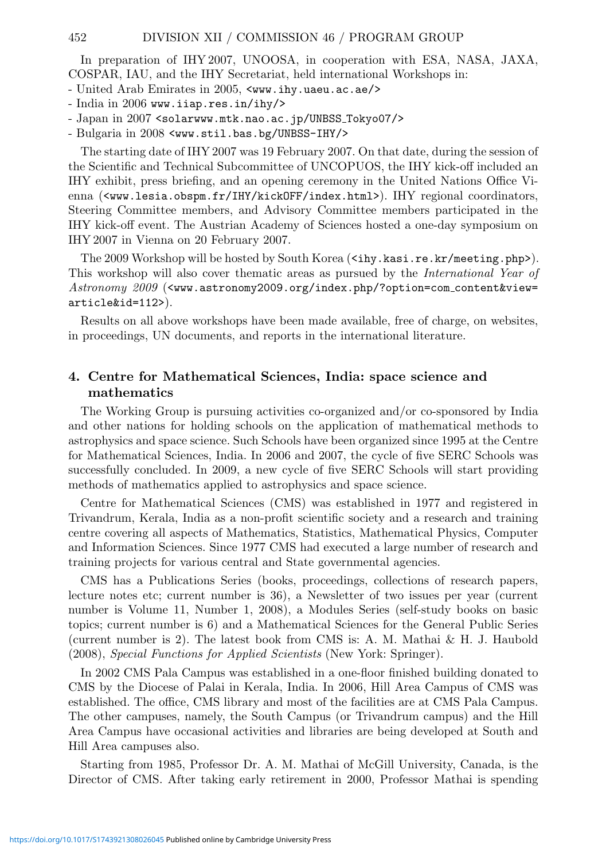In preparation of IHY 2007, UNOOSA, in cooperation with ESA, NASA, JAXA, COSPAR, IAU, and the IHY Secretariat, held international Workshops in:

- United Arab Emirates in 2005, <www.ihy.uaeu.ac.ae/>
- India in 2006 www.iiap.res.in/ihy/>
- Japan in 2007 <solarwww.mtk.nao.ac.jp/UNBSS Tokyo07/>
- Bulgaria in 2008 <www.stil.bas.bg/UNBSS-IHY/>

The starting date of IHY 2007 was 19 February 2007. On that date, during the session of the Scientific and Technical Subcommittee of UNCOPUOS, the IHY kick-off included an IHY exhibit, press briefing, and an opening ceremony in the United Nations Office Vienna (<www.lesia.obspm.fr/IHY/kickOFF/index.html>). IHY regional coordinators, Steering Committee members, and Advisory Committee members participated in the IHY kick-off event. The Austrian Academy of Sciences hosted a one-day symposium on IHY 2007 in Vienna on 20 February 2007.

The 2009 Workshop will be hosted by South Korea (<ihy.kasi.re.kr/meeting.php>). This workshop will also cover thematic areas as pursued by the International Year of Astronomy 2009 (<www.astronomy2009.org/index.php/?option=com\_content&view= article&id=112>).

Results on all above workshops have been made available, free of charge, on websites, in proceedings, UN documents, and reports in the international literature.

# **4. Centre for Mathematical Sciences, India: space science and mathematics**

The Working Group is pursuing activities co-organized and/or co-sponsored by India and other nations for holding schools on the application of mathematical methods to astrophysics and space science. Such Schools have been organized since 1995 at the Centre for Mathematical Sciences, India. In 2006 and 2007, the cycle of five SERC Schools was successfully concluded. In 2009, a new cycle of five SERC Schools will start providing methods of mathematics applied to astrophysics and space science.

Centre for Mathematical Sciences (CMS) was established in 1977 and registered in Trivandrum, Kerala, India as a non-profit scientific society and a research and training centre covering all aspects of Mathematics, Statistics, Mathematical Physics, Computer and Information Sciences. Since 1977 CMS had executed a large number of research and training projects for various central and State governmental agencies.

CMS has a Publications Series (books, proceedings, collections of research papers, lecture notes etc; current number is 36), a Newsletter of two issues per year (current number is Volume 11, Number 1, 2008), a Modules Series (self-study books on basic topics; current number is 6) and a Mathematical Sciences for the General Public Series (current number is 2). The latest book from CMS is: A. M. Mathai & H. J. Haubold (2008), Special Functions for Applied Scientists (New York: Springer).

In 2002 CMS Pala Campus was established in a one-floor finished building donated to CMS by the Diocese of Palai in Kerala, India. In 2006, Hill Area Campus of CMS was established. The office, CMS library and most of the facilities are at CMS Pala Campus. The other campuses, namely, the South Campus (or Trivandrum campus) and the Hill Area Campus have occasional activities and libraries are being developed at South and Hill Area campuses also.

Starting from 1985, Professor Dr. A. M. Mathai of McGill University, Canada, is the Director of CMS. After taking early retirement in 2000, Professor Mathai is spending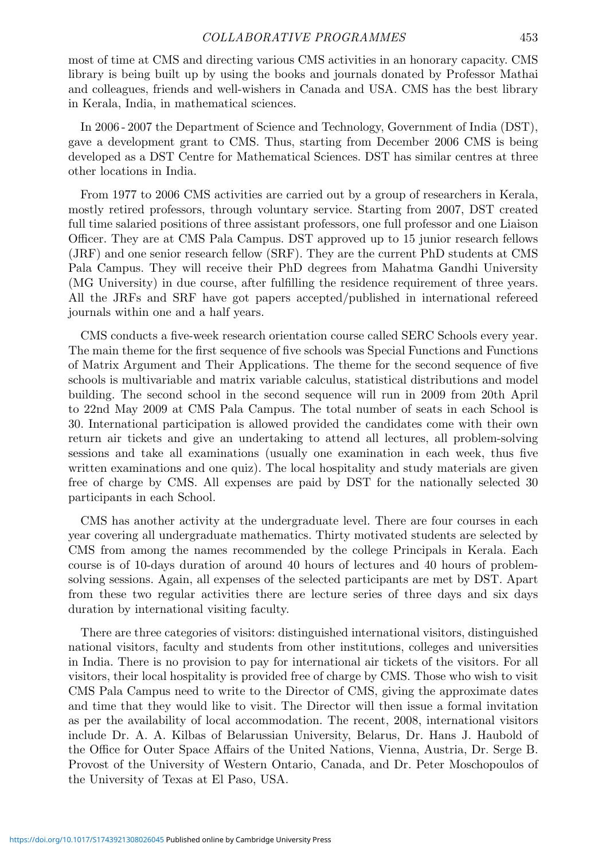most of time at CMS and directing various CMS activities in an honorary capacity. CMS library is being built up by using the books and journals donated by Professor Mathai and colleagues, friends and well-wishers in Canada and USA. CMS has the best library in Kerala, India, in mathematical sciences.

In 2006 - 2007 the Department of Science and Technology, Government of India (DST), gave a development grant to CMS. Thus, starting from December 2006 CMS is being developed as a DST Centre for Mathematical Sciences. DST has similar centres at three other locations in India.

From 1977 to 2006 CMS activities are carried out by a group of researchers in Kerala, mostly retired professors, through voluntary service. Starting from 2007, DST created full time salaried positions of three assistant professors, one full professor and one Liaison Officer. They are at CMS Pala Campus. DST approved up to 15 junior research fellows (JRF) and one senior research fellow (SRF). They are the current PhD students at CMS Pala Campus. They will receive their PhD degrees from Mahatma Gandhi University (MG University) in due course, after fulfilling the residence requirement of three years. All the JRFs and SRF have got papers accepted/published in international refereed journals within one and a half years.

CMS conducts a five-week research orientation course called SERC Schools every year. The main theme for the first sequence of five schools was Special Functions and Functions of Matrix Argument and Their Applications. The theme for the second sequence of five schools is multivariable and matrix variable calculus, statistical distributions and model building. The second school in the second sequence will run in 2009 from 20th April to 22nd May 2009 at CMS Pala Campus. The total number of seats in each School is 30. International participation is allowed provided the candidates come with their own return air tickets and give an undertaking to attend all lectures, all problem-solving sessions and take all examinations (usually one examination in each week, thus five written examinations and one quiz). The local hospitality and study materials are given free of charge by CMS. All expenses are paid by DST for the nationally selected 30 participants in each School.

CMS has another activity at the undergraduate level. There are four courses in each year covering all undergraduate mathematics. Thirty motivated students are selected by CMS from among the names recommended by the college Principals in Kerala. Each course is of 10-days duration of around 40 hours of lectures and 40 hours of problemsolving sessions. Again, all expenses of the selected participants are met by DST. Apart from these two regular activities there are lecture series of three days and six days duration by international visiting faculty.

There are three categories of visitors: distinguished international visitors, distinguished national visitors, faculty and students from other institutions, colleges and universities in India. There is no provision to pay for international air tickets of the visitors. For all visitors, their local hospitality is provided free of charge by CMS. Those who wish to visit CMS Pala Campus need to write to the Director of CMS, giving the approximate dates and time that they would like to visit. The Director will then issue a formal invitation as per the availability of local accommodation. The recent, 2008, international visitors include Dr. A. A. Kilbas of Belarussian University, Belarus, Dr. Hans J. Haubold of the Office for Outer Space Affairs of the United Nations, Vienna, Austria, Dr. Serge B. Provost of the University of Western Ontario, Canada, and Dr. Peter Moschopoulos of the University of Texas at El Paso, USA.